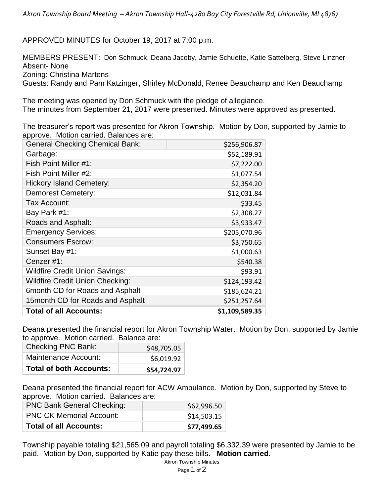APPROVED MINUTES for October 19, 2017 at 7:00 p.m.

MEMBERS PRESENT: Don Schmuck, Deana Jacoby, Jamie Schuette, Katie Sattelberg, Steve Linzner Absent- None

Zoning: Christina Martens

Guests: Randy and Pam Katzinger, Shirley McDonald, Renee Beauchamp and Ken Beauchamp

The meeting was opened by Don Schmuck with the pledge of allegiance. The minutes from September 21, 2017 were presented. Minutes were approved as presented.

The treasurer's report was presented for Akron Township. Motion by Don, supported by Jamie to approve. Motion carried. Balances are:

| <b>General Checking Chemical Bank:</b> | \$256,906.87   |
|----------------------------------------|----------------|
| Garbage:                               | \$52,189.91    |
| Fish Point Miller #1:                  | \$7,222.00     |
| Fish Point Miller #2:                  | \$1,077.54     |
| <b>Hickory Island Cemetery:</b>        | \$2,354.20     |
| <b>Demorest Cemetery:</b>              | \$12,031.84    |
| Tax Account:                           | \$33.45        |
| Bay Park #1:                           | \$2,308.27     |
| Roads and Asphalt:                     | \$3,933.47     |
| <b>Emergency Services:</b>             | \$205,070.96   |
| <b>Consumers Escrow:</b>               | \$3,750.65     |
| Sunset Bay #1:                         | \$1,000.63     |
| Cenzer#1:                              | \$540.38       |
| <b>Wildfire Credit Union Savings:</b>  | \$93.91        |
| <b>Wildfire Credit Union Checking:</b> | \$124,193.42   |
| 6month CD for Roads and Asphalt        | \$185,624.21   |
| 15 month CD for Roads and Asphalt      | \$251,257.64   |
| <b>Total of all Accounts:</b>          | \$1,109,589.35 |

Deana presented the financial report for Akron Township Water. Motion by Don, supported by Jamie to approve. Motion carried. Balance are:

| <b>Total of both Accounts:</b> | \$54,724.97 |
|--------------------------------|-------------|
| Maintenance Account:           | \$6,019.92  |
| <b>Checking PNC Bank:</b>      | \$48,705.05 |

Deana presented the financial report for ACW Ambulance. Motion by Don, supported by Steve to approve. Motion carried. Balances are:

| <b>PNC Bank General Checking:</b> | \$62,996.50 |
|-----------------------------------|-------------|
| <b>PNC CK Memorial Account:</b>   | \$14,503.15 |
| <b>Total of all Accounts:</b>     | \$77,499.65 |

Township payable totaling \$21,565.09 and payroll totaling \$6,332.39 were presented by Jamie to be paid. Motion by Don, supported by Katie pay these bills. **Motion carried.**